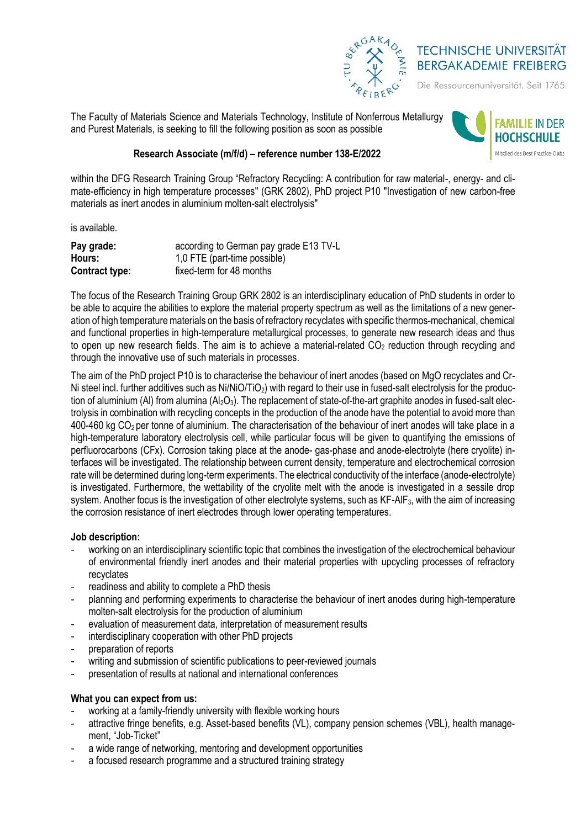

# **TECHNISCHE UNIVERSITÄT BERGAKADEMIE FREIBERG**

Die Ressourcenuniversität. Seit 1765.

The Faculty of Materials Science and Materials Technology, Institute of Nonferrous Metallurgy and Purest Materials, is seeking to fill the following position as soon as possible



## **Research Associate (m/f/d) – reference number 138-E/2022**

within the DFG Research Training Group "Refractory Recycling: A contribution for raw material-, energy- and climate-efficiency in high temperature processes" (GRK 2802), PhD project P10 "Investigation of new carbon-free materials as inert anodes in aluminium molten-salt electrolysis"

is available.

| Pay grade:     | according to German pay grade E13 TV-L |
|----------------|----------------------------------------|
| Hours:         | 1,0 FTE (part-time possible)           |
| Contract type: | fixed-term for 48 months               |

The focus of the Research Training Group GRK 2802 is an interdisciplinary education of PhD students in order to be able to acquire the abilities to explore the material property spectrum as well as the limitations of a new generation of high temperature materials on the basis of refractory recyclates with specific thermos-mechanical, chemical and functional properties in high-temperature metallurgical processes, to generate new research ideas and thus to open up new research fields. The aim is to achieve a material-related CO<sub>2</sub> reduction through recycling and through the innovative use of such materials in processes.

The aim of the PhD project P10 is to characterise the behaviour of inert anodes (based on MgO recyclates and Cr-Ni steel incl. further additives such as Ni/NiO/TiO<sub>2</sub>) with regard to their use in fused-salt electrolysis for the production of aluminium (Al) from alumina  $(A_2O_3)$ . The replacement of state-of-the-art graphite anodes in fused-salt electrolysis in combination with recycling concepts in the production of the anode have the potential to avoid more than 400-460 kg CO2 per tonne of aluminium. The characterisation of the behaviour of inert anodes will take place in a high-temperature laboratory electrolysis cell, while particular focus will be given to quantifying the emissions of perfluorocarbons (CFx). Corrosion taking place at the anode- gas-phase and anode-electrolyte (here cryolite) interfaces will be investigated. The relationship between current density, temperature and electrochemical corrosion rate will be determined during long-term experiments. The electrical conductivity of the interface (anode-electrolyte) is investigated. Furthermore, the wettability of the cryolite melt with the anode is investigated in a sessile drop system. Another focus is the investigation of other electrolyte systems, such as KF-AlF<sub>3</sub>, with the aim of increasing the corrosion resistance of inert electrodes through lower operating temperatures.

### **Job description:**

- working on an interdisciplinary scientific topic that combines the investigation of the electrochemical behaviour of environmental friendly inert anodes and their material properties with upcycling processes of refractory recyclates
- readiness and ability to complete a PhD thesis
- planning and performing experiments to characterise the behaviour of inert anodes during high-temperature molten-salt electrolysis for the production of aluminium
- evaluation of measurement data, interpretation of measurement results
- interdisciplinary cooperation with other PhD projects
- preparation of reports
- writing and submission of scientific publications to peer-reviewed journals
- presentation of results at national and international conferences

## **What you can expect from us:**

- working at a family-friendly university with flexible working hours
- attractive fringe benefits, e.g. Asset-based benefits (VL), company pension schemes (VBL), health management, "Job-Ticket"
- a wide range of networking, mentoring and development opportunities
- a focused research programme and a structured training strategy